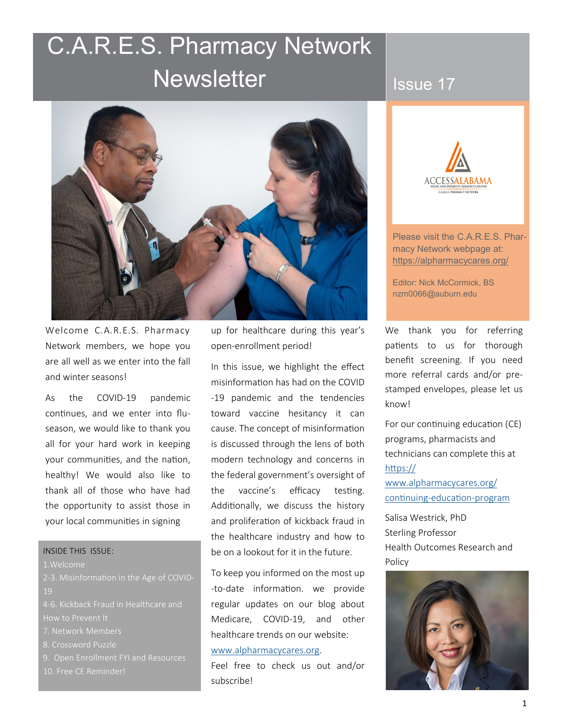# C.A.R.E.S. Pharmacy Network **Newsletter**

# Issue 17



Welcome C.A.R.E.S. Pharmacy Network members, we hope you are all well as we enter into the fall and winter seasons!

As the COVID-19 pandemic continues, and we enter into fluseason, we would like to thank you all for your hard work in keeping your communities, and the nation, healthy! We would also like to thank all of those who have had the opportunity to assist those in your local communities in signing

#### INSIDE THIS ISSUE:

1.Welcome

2-3. Misinformation in the Age of COVID-19

4-6. Kickback Fraud in Healthcare and How to Prevent It

- 
- 8. Crossword Puzzle

9. Open Enrollment FYI and Resources

up for healthcare during this year's open-enrollment period!

In this issue, we highlight the effect misinformation has had on the COVID -19 pandemic and the tendencies toward vaccine hesitancy it can cause. The concept of misinformation is discussed through the lens of both modern technology and concerns in the federal government's oversight of the vaccine's efficacy testing. Additionally, we discuss the history and proliferation of kickback fraud in the healthcare industry and how to be on a lookout for it in the future.

To keep you informed on the most up -to-date information. we provide regular updates on our blog about Medicare, COVID-19, and other healthcare trends on our website:

#### [www.alpharmacycares.org.](https://www.alpharmacycares.org/)

Feel free to check us out and/or subscribe!



Please visit the C.A.R.E.S. Pharmacy Network webpage at: https://alpharmacycares.org/

Editor: Nick McCormick, BS nzm0066@auburn.edu

We thank you for referring patients to us for thorough benefit screening. If you need more referral cards and/or prestamped envelopes, please let us know!

For our continuing education (CE) programs, pharmacists and technicians can complete this at [https://](https://www.alpharmacycares.org/continuing-education-program)

[www.alpharmacycares.org/](https://www.alpharmacycares.org/continuing-education-program) [continuing](https://www.alpharmacycares.org/continuing-education-program)-education-program

Salisa Westrick, PhD Sterling Professor Health Outcomes Research and Policy

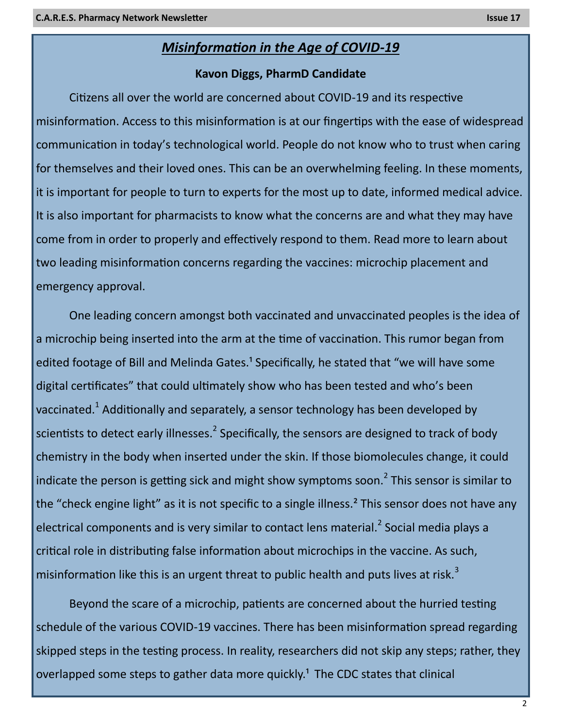## *Misinformation in the Age of COVID-19*

#### **Kavon Diggs, PharmD Candidate**

Citizens all over the world are concerned about COVID-19 and its respective misinformation. Access to this misinformation is at our fingertips with the ease of widespread communication in today's technological world. People do not know who to trust when caring for themselves and their loved ones. This can be an overwhelming feeling. In these moments, it is important for people to turn to experts for the most up to date, informed medical advice. It is also important for pharmacists to know what the concerns are and what they may have come from in order to properly and effectively respond to them. Read more to learn about two leading misinformation concerns regarding the vaccines: microchip placement and emergency approval.

One leading concern amongst both vaccinated and unvaccinated peoples is the idea of a microchip being inserted into the arm at the time of vaccination. This rumor began from edited footage of Bill and Melinda Gates.<sup>1</sup> Specifically, he stated that "we will have some digital certificates" that could ultimately show who has been tested and who's been vaccinated.<sup>1</sup> Additionally and separately, a sensor technology has been developed by scientists to detect early illnesses.<sup>2</sup> Specifically, the sensors are designed to track of body chemistry in the body when inserted under the skin. If those biomolecules change, it could indicate the person is getting sick and might show symptoms soon.<sup>2</sup> This sensor is similar to the "check engine light" as it is not specific to a single illness.<sup>2</sup> This sensor does not have any electrical components and is very similar to contact lens material.<sup>2</sup> Social media plays a critical role in distributing false information about microchips in the vaccine. As such, misinformation like this is an urgent threat to public health and puts lives at risk.<sup>3</sup>

Beyond the scare of a microchip, patients are concerned about the hurried testing schedule of the various COVID-19 vaccines. There has been misinformation spread regarding skipped steps in the testing process. In reality, researchers did not skip any steps; rather, they overlapped some steps to gather data more quickly.<sup>1</sup> The CDC states that clinical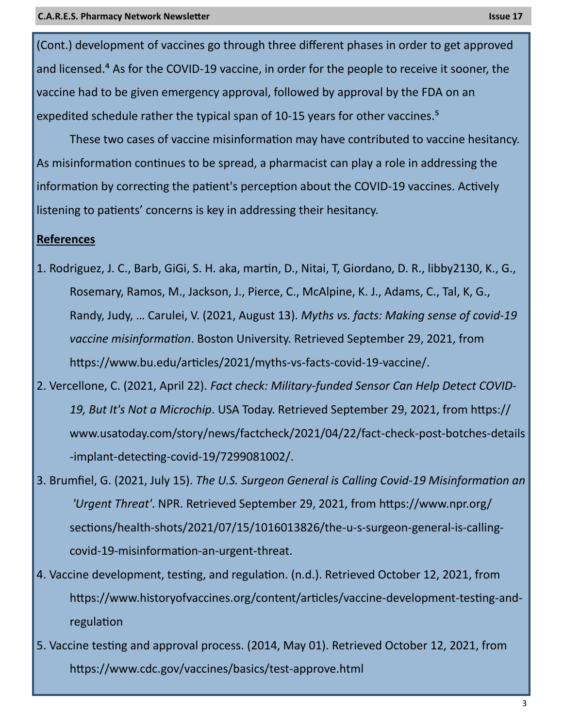(Cont.) development of vaccines go through three different phases in order to get approved and licensed.<sup>4</sup> As for the COVID-19 vaccine, in order for the people to receive it sooner, the vaccine had to be given emergency approval, followed by approval by the FDA on an expedited schedule rather the typical span of 10-15 years for other vaccines.<sup>5</sup>

These two cases of vaccine misinformation may have contributed to vaccine hesitancy. As misinformation continues to be spread, a pharmacist can play a role in addressing the information by correcting the patient's perception about the COVID-19 vaccines. Actively listening to patients' concerns is key in addressing their hesitancy.

#### **References**

- 1. Rodriguez, J. C., Barb, GiGi, S. H. aka, martin, D., Nitai, T, Giordano, D. R., libby2130, K., G., Rosemary, Ramos, M., Jackson, J., Pierce, C., McAlpine, K. J., Adams, C., Tal, K, G., Randy, Judy, … Carulei, V. (2021, August 13). *Myths vs. facts: Making sense of covid-19 vaccine misinformation*. Boston University. Retrieved September 29, 2021, from https://www.bu.edu/articles/2021/myths-vs-facts-covid-19-vaccine/.
- 2. Vercellone, C. (2021, April 22). *Fact check: Military-funded Sensor Can Help Detect COVID-19, But It's Not a Microchip*. USA Today. Retrieved September 29, 2021, from https:// www.usatoday.com/story/news/factcheck/2021/04/22/fact-check-post-botches-details -implant-detecting-covid-19/7299081002/.
- 3. Brumfiel, G. (2021, July 15). *The U.S. Surgeon General is Calling Covid-19 Misinformation an 'Urgent Threat'*. NPR. Retrieved September 29, 2021, from https://www.npr.org/ sections/health-shots/2021/07/15/1016013826/the-u-s-surgeon-general-is-callingcovid-19-misinformation-an-urgent-threat.
- 4. Vaccine development, testing, and regulation. (n.d.). Retrieved October 12, 2021, from https://www.historyofvaccines.org/content/articles/vaccine-development-testing-andregulation
- 5. Vaccine testing and approval process. (2014, May 01). Retrieved October 12, 2021, from https://www.cdc.gov/vaccines/basics/test-approve.html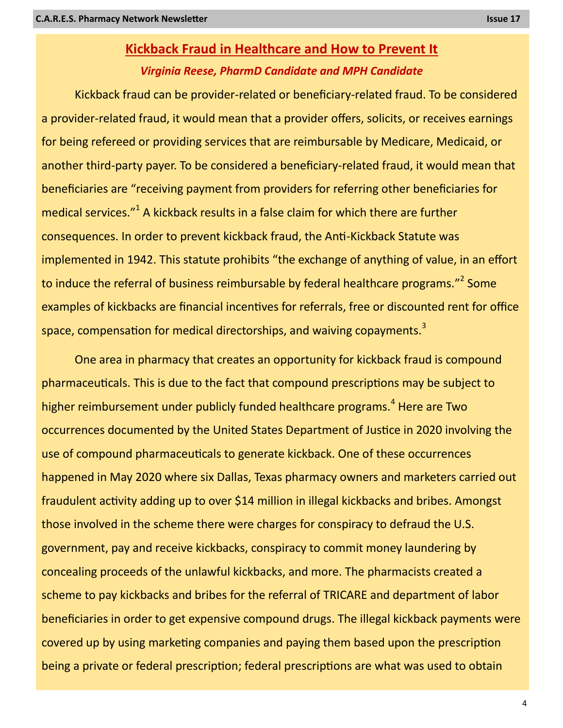## **Kickback Fraud in Healthcare and How to Prevent It** *Virginia Reese, PharmD Candidate and MPH Candidate*

Kickback fraud can be provider-related or beneficiary-related fraud. To be considered a provider-related fraud, it would mean that a provider offers, solicits, or receives earnings for being refereed or providing services that are reimbursable by Medicare, Medicaid, or another third-party payer. To be considered a beneficiary-related fraud, it would mean that beneficiaries are "receiving payment from providers for referring other beneficiaries for medical services."<sup>1</sup> A kickback results in a false claim for which there are further consequences. In order to prevent kickback fraud, the Anti-Kickback Statute was implemented in 1942. This statute prohibits "the exchange of anything of value, in an effort to induce the referral of business reimbursable by federal healthcare programs."<sup>2</sup> Some examples of kickbacks are financial incentives for referrals, free or discounted rent for office space, compensation for medical directorships, and waiving copayments.<sup>3</sup>

One area in pharmacy that creates an opportunity for kickback fraud is compound pharmaceuticals. This is due to the fact that compound prescriptions may be subject to higher reimbursement under publicly funded healthcare programs.<sup>4</sup> Here are Two occurrences documented by the United States Department of Justice in 2020 involving the use of compound pharmaceuticals to generate kickback. One of these occurrences happened in May 2020 where six Dallas, Texas pharmacy owners and marketers carried out fraudulent activity adding up to over \$14 million in illegal kickbacks and bribes. Amongst those involved in the scheme there were charges for conspiracy to defraud the U.S. government, pay and receive kickbacks, conspiracy to commit money laundering by concealing proceeds of the unlawful kickbacks, and more. The pharmacists created a scheme to pay kickbacks and bribes for the referral of TRICARE and department of labor beneficiaries in order to get expensive compound drugs. The illegal kickback payments were covered up by using marketing companies and paying them based upon the prescription being a private or federal prescription; federal prescriptions are what was used to obtain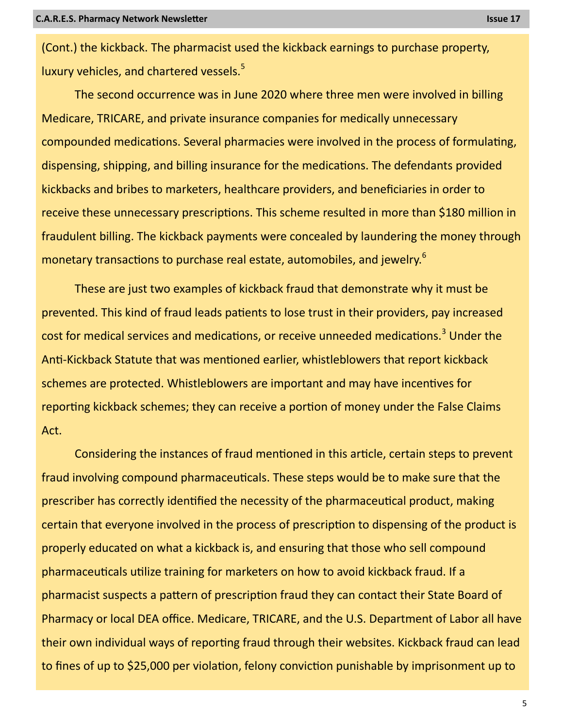(Cont.) the kickback. The pharmacist used the kickback earnings to purchase property, luxury vehicles, and chartered vessels. $5$ 

The second occurrence was in June 2020 where three men were involved in billing Medicare, TRICARE, and private insurance companies for medically unnecessary compounded medications. Several pharmacies were involved in the process of formulating, dispensing, shipping, and billing insurance for the medications. The defendants provided kickbacks and bribes to marketers, healthcare providers, and beneficiaries in order to receive these unnecessary prescriptions. This scheme resulted in more than \$180 million in fraudulent billing. The kickback payments were concealed by laundering the money through monetary transactions to purchase real estate, automobiles, and jewelry.<sup>6</sup>

These are just two examples of kickback fraud that demonstrate why it must be prevented. This kind of fraud leads patients to lose trust in their providers, pay increased cost for medical services and medications, or receive unneeded medications.<sup>3</sup> Under the Anti-Kickback Statute that was mentioned earlier, whistleblowers that report kickback schemes are protected. Whistleblowers are important and may have incentives for reporting kickback schemes; they can receive a portion of money under the False Claims Act.

Considering the instances of fraud mentioned in this article, certain steps to prevent fraud involving compound pharmaceuticals. These steps would be to make sure that the prescriber has correctly identified the necessity of the pharmaceutical product, making certain that everyone involved in the process of prescription to dispensing of the product is properly educated on what a kickback is, and ensuring that those who sell compound pharmaceuticals utilize training for marketers on how to avoid kickback fraud. If a pharmacist suspects a pattern of prescription fraud they can contact their State Board of Pharmacy or local DEA office. Medicare, TRICARE, and the U.S. Department of Labor all have their own individual ways of reporting fraud through their websites. Kickback fraud can lead to fines of up to \$25,000 per violation, felony conviction punishable by imprisonment up to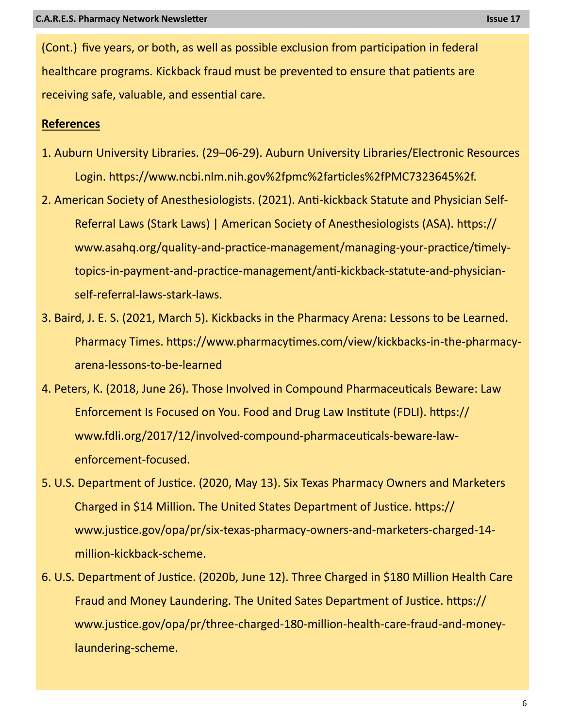(Cont.) five years, or both, as well as possible exclusion from participation in federal healthcare programs. Kickback fraud must be prevented to ensure that patients are receiving safe, valuable, and essential care.

#### **References**

- 1. Auburn University Libraries. (29–06-29). Auburn University Libraries/Electronic Resources Login. https://www.ncbi.nlm.nih.gov%2fpmc%2farticles%2fPMC7323645%2f.
- 2. American Society of Anesthesiologists. (2021). Anti-kickback Statute and Physician Self-Referral Laws (Stark Laws) | American Society of Anesthesiologists (ASA). https:// www.asahq.org/quality-and-practice-management/managing-your-practice/timelytopics-in-payment-and-practice-management/anti-kickback-statute-and-physicianself-referral-laws-stark-laws.
- 3. Baird, J. E. S. (2021, March 5). Kickbacks in the Pharmacy Arena: Lessons to be Learned. Pharmacy Times. https://www.pharmacytimes.com/view/kickbacks-in-the-pharmacyarena-lessons-to-be-learned
- 4. Peters, K. (2018, June 26). Those Involved in Compound Pharmaceuticals Beware: Law Enforcement Is Focused on You. Food and Drug Law Institute (FDLI). https:// www.fdli.org/2017/12/involved-compound-pharmaceuticals-beware-lawenforcement-focused.
- 5. U.S. Department of Justice. (2020, May 13). Six Texas Pharmacy Owners and Marketers Charged in \$14 Million. The United States Department of Justice. https:// www.justice.gov/opa/pr/six-texas-pharmacy-owners-and-marketers-charged-14 million-kickback-scheme.
- 6. U.S. Department of Justice. (2020b, June 12). Three Charged in \$180 Million Health Care Fraud and Money Laundering. The United Sates Department of Justice. https:// www.justice.gov/opa/pr/three-charged-180-million-health-care-fraud-and-moneylaundering-scheme.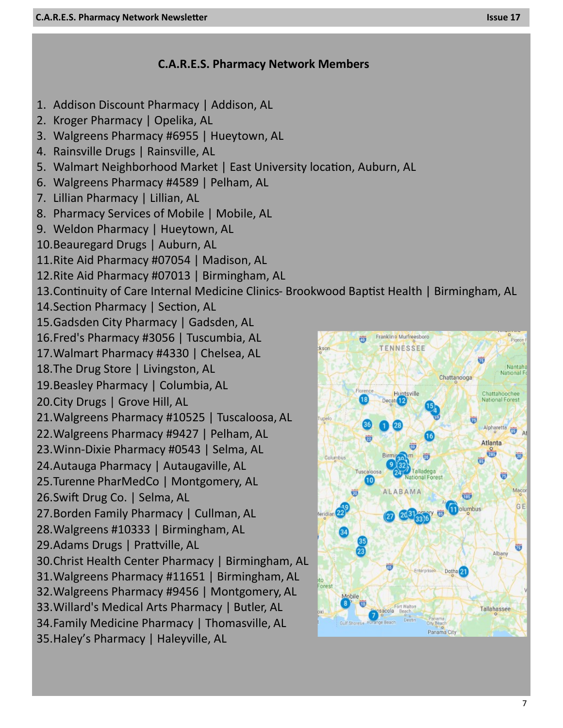### **C.A.R.E.S. Pharmacy Network Members**

- 1. Addison Discount Pharmacy | Addison, AL
- 2. Kroger Pharmacy | Opelika, AL
- 3. Walgreens Pharmacy #6955 | Hueytown, AL
- 4. Rainsville Drugs | Rainsville, AL
- 5. Walmart Neighborhood Market | East University location, Auburn, AL
- 6. Walgreens Pharmacy #4589 | Pelham, AL
- 7. Lillian Pharmacy | Lillian, AL
- 8. Pharmacy Services of Mobile | Mobile, AL
- 9. Weldon Pharmacy | Hueytown, AL
- 10.Beauregard Drugs | Auburn, AL
- 11.Rite Aid Pharmacy #07054 | Madison, AL
- 12.Rite Aid Pharmacy #07013 | Birmingham, AL
- 13.Continuity of Care Internal Medicine Clinics- Brookwood Baptist Health | Birmingham, AL
- 14.Section Pharmacy | Section, AL
- 15.Gadsden City Pharmacy | Gadsden, AL
- 16.Fred's Pharmacy #3056 | Tuscumbia, AL
- 17.Walmart Pharmacy #4330 | Chelsea, AL
- 18.The Drug Store | Livingston, AL
- 19.Beasley Pharmacy | Columbia, AL
- 20.City Drugs | Grove Hill, AL
- 21.Walgreens Pharmacy #10525 | Tuscaloosa, AL
- 22.Walgreens Pharmacy #9427 | Pelham, AL
- 23.Winn-Dixie Pharmacy #0543 | Selma, AL
- 24.Autauga Pharmacy | Autaugaville, AL
- 25.Turenne PharMedCo | Montgomery, AL
- 26.Swift Drug Co. | Selma, AL
- 27.Borden Family Pharmacy | Cullman, AL
- 28.Walgreens #10333 | Birmingham, AL
- 29.Adams Drugs | Prattville, AL
- 30.Christ Health Center Pharmacy | Birmingham, AL
- 31.Walgreens Pharmacy #11651 | Birmingham, AL
- 32.Walgreens Pharmacy #9456 | Montgomery, AL
- 33.Willard's Medical Arts Pharmacy | Butler, AL
- 34.Family Medicine Pharmacy | Thomasville, AL
- 35.Haley's Pharmacy | Haleyville, AL

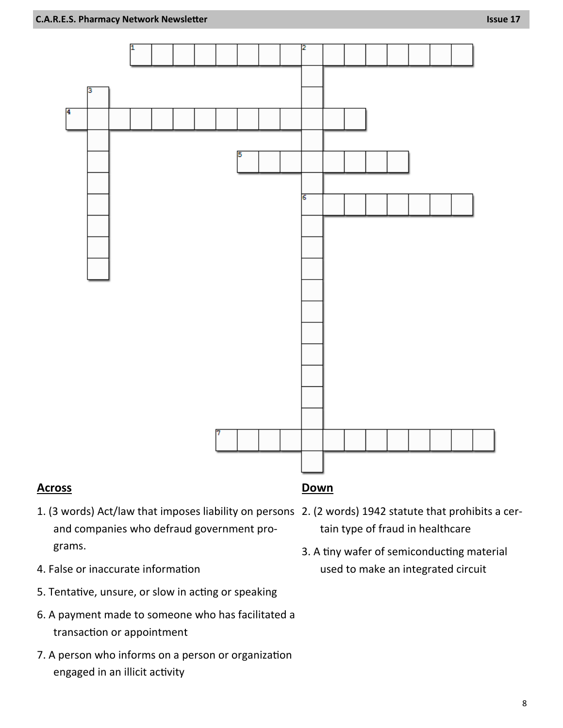

#### **Across**

- 1. (3 words) Act/law that imposes liability on persons 2. (2 words) 1942 statute that prohibits a cerand companies who defraud government programs.
- 4. False or inaccurate information
- 5. Tentative, unsure, or slow in acting or speaking
- 6. A payment made to someone who has facilitated a transaction or appointment
- 7. A person who informs on a person or organization engaged in an illicit activity
- tain type of fraud in healthcare
- 3. A tiny wafer of semiconducting material used to make an integrated circuit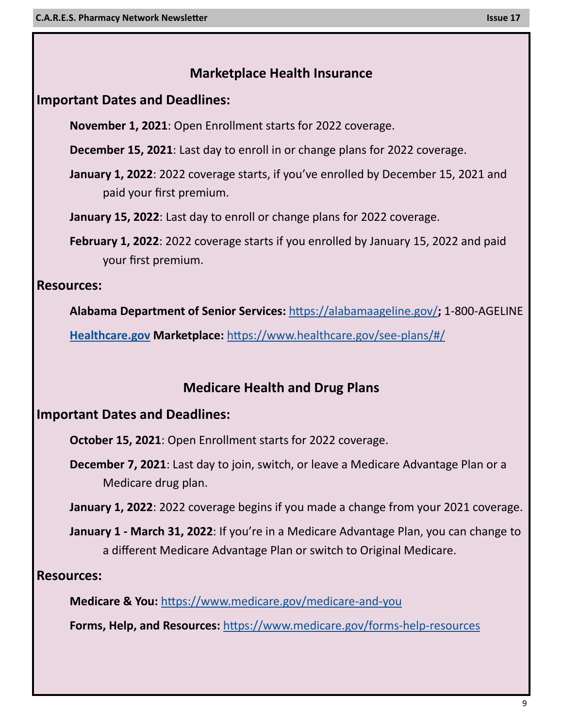## **Marketplace Health Insurance**

## **Important Dates and Deadlines:**

**November 1, 2021**: Open Enrollment starts for 2022 coverage.

**December 15, 2021**: Last day to enroll in or change plans for 2022 coverage.

- **January 1, 2022**: 2022 coverage starts, if you've enrolled by December 15, 2021 and paid your first premium.
- **January 15, 2022**: Last day to enroll or change plans for 2022 coverage.
- **February 1, 2022**: 2022 coverage starts if you enrolled by January 15, 2022 and paid your first premium.

## **Resources:**

**Alabama Department of Senior Services:** <https://alabamaageline.gov/>**;** 1-800-AGELINE

**[Healthcare.gov](https://www.healthcare.gov/) Marketplace:** [https://www.healthcare.gov/see](https://www.healthcare.gov/see-plans/#/)-plans/#/

## **Medicare Health and Drug Plans**

## **Important Dates and Deadlines:**

**October 15, 2021**: Open Enrollment starts for 2022 coverage.

**December 7, 2021**: Last day to join, switch, or leave a Medicare Advantage Plan or a Medicare drug plan.

**January 1, 2022**: 2022 coverage begins if you made a change from your 2021 coverage.

**January 1 - March 31, 2022**: If you're in a Medicare Advantage Plan, you can change to a different Medicare Advantage Plan or switch to Original Medicare.

**Resources:**

**Medicare & You:** [https://www.medicare.gov/medicare](https://www.medicare.gov/medicare-and-you)-and-you

**Forms, Help, and Resources:** [https://www.medicare.gov/forms](https://www.medicare.gov/forms-help-resources)-help-resources